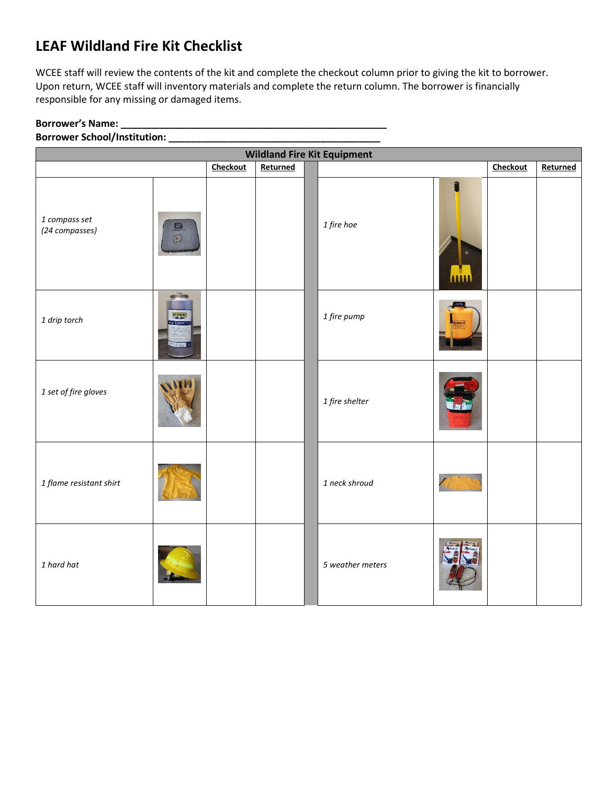## **LEAF Wildland Fire Kit Checklist**

WCEE staff will review the contents of the kit and complete the checkout column prior to giving the kit to borrower. Upon return, WCEE staff will inventory materials and complete the return column. The borrower is financially responsible for any missing or damaged items.

## **Borrower's Name: \_\_\_\_\_\_\_\_\_\_\_\_\_\_\_\_\_\_\_\_\_\_\_\_\_\_\_\_\_\_\_\_\_\_\_\_\_\_\_\_\_\_\_\_\_\_\_\_\_**

## **Borrower School/Institution: \_\_\_\_\_\_\_\_\_\_\_\_\_\_\_\_\_\_\_\_\_\_\_\_\_\_\_\_\_\_\_\_\_\_\_\_\_\_\_**

| <b>Wildland Fire Kit Equipment</b> |                                       |          |          |  |                  |            |          |          |
|------------------------------------|---------------------------------------|----------|----------|--|------------------|------------|----------|----------|
|                                    |                                       | Checkout | Returned |  |                  |            | Checkout | Returned |
| 1 compass set<br>(24 compasses)    | 日日                                    |          |          |  | 1 fire hoe       | f<br>AAAAA |          |          |
| 1 drip torch                       | <b>Agricult</b><br><b>FAINFILDING</b> |          |          |  | 1 fire pump      |            |          |          |
| 1 set of fire gloves               |                                       |          |          |  | 1 fire shelter   |            |          |          |
| 1 flame resistant shirt            |                                       |          |          |  | 1 neck shroud    |            |          |          |
| 1 hard hat                         |                                       |          |          |  | 5 weather meters |            |          |          |